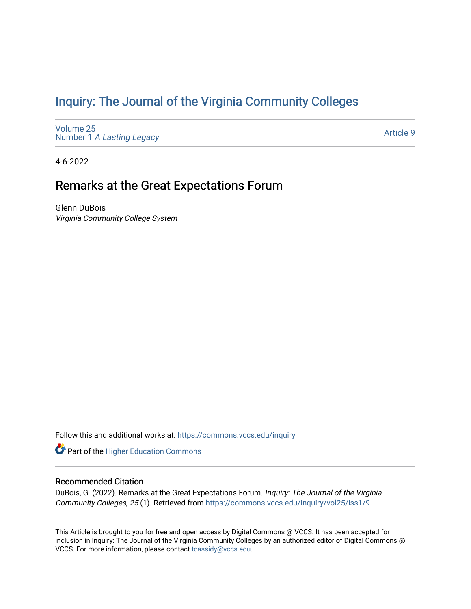# [Inquiry: The Journal of the Virginia Community Colleges](https://commons.vccs.edu/inquiry)

[Volume 25](https://commons.vccs.edu/inquiry/vol25) Number 1 [A Lasting Legacy](https://commons.vccs.edu/inquiry/vol25/iss1)

[Article 9](https://commons.vccs.edu/inquiry/vol25/iss1/9) 

4-6-2022

## Remarks at the Great Expectations Forum

Glenn DuBois Virginia Community College System

Follow this and additional works at: [https://commons.vccs.edu/inquiry](https://commons.vccs.edu/inquiry?utm_source=commons.vccs.edu%2Finquiry%2Fvol25%2Fiss1%2F9&utm_medium=PDF&utm_campaign=PDFCoverPages)

Part of the [Higher Education Commons](http://network.bepress.com/hgg/discipline/1245?utm_source=commons.vccs.edu%2Finquiry%2Fvol25%2Fiss1%2F9&utm_medium=PDF&utm_campaign=PDFCoverPages) 

### Recommended Citation

DuBois, G. (2022). Remarks at the Great Expectations Forum. Inquiry: The Journal of the Virginia Community Colleges, 25 (1). Retrieved from [https://commons.vccs.edu/inquiry/vol25/iss1/9](https://commons.vccs.edu/inquiry/vol25/iss1/9?utm_source=commons.vccs.edu%2Finquiry%2Fvol25%2Fiss1%2F9&utm_medium=PDF&utm_campaign=PDFCoverPages)

This Article is brought to you for free and open access by Digital Commons @ VCCS. It has been accepted for inclusion in Inquiry: The Journal of the Virginia Community Colleges by an authorized editor of Digital Commons @ VCCS. For more information, please contact [tcassidy@vccs.edu](mailto:tcassidy@vccs.edu).